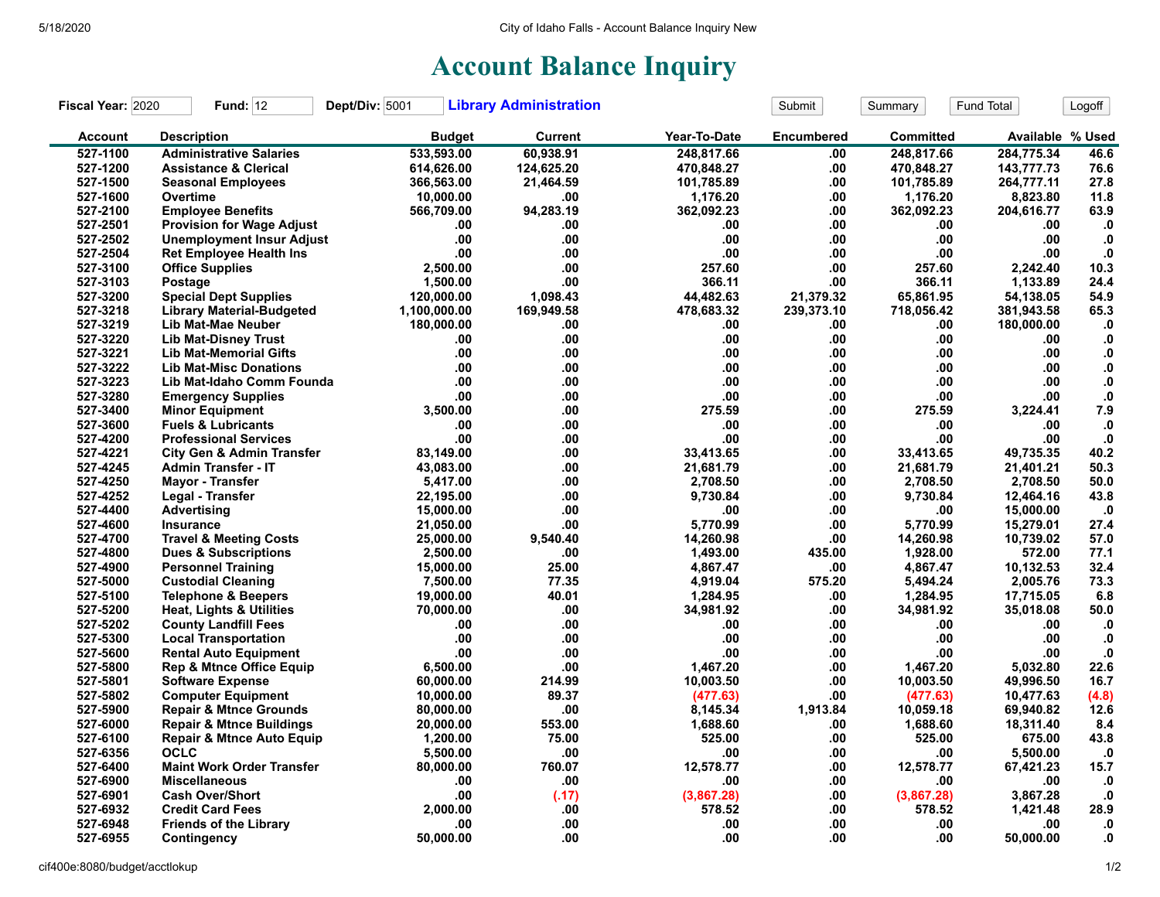## **Account Balance Inquiry**

| Fiscal Year: 2020 | <b>Fund: 12</b>                      | Dept/Div: 5001 | <b>Library Administration</b> |              | Submit            | Summary    | Fund Total       | Logoff        |
|-------------------|--------------------------------------|----------------|-------------------------------|--------------|-------------------|------------|------------------|---------------|
| <b>Account</b>    | <b>Description</b>                   | <b>Budget</b>  | <b>Current</b>                | Year-To-Date | <b>Encumbered</b> | Committed  | Available % Used |               |
| 527-1100          | <b>Administrative Salaries</b>       | 533,593.00     | 60,938.91                     | 248,817.66   | .00               | 248.817.66 | 284,775.34       | 46.6          |
| 527-1200          | <b>Assistance &amp; Clerical</b>     | 614,626.00     | 124,625.20                    | 470,848.27   | .00.              | 470,848.27 | 143,777.73       | 76.6          |
| 527-1500          | <b>Seasonal Employees</b>            | 366,563.00     | 21,464.59                     | 101,785.89   | .00               | 101,785.89 | 264,777.11       | 27.8          |
| 527-1600          | Overtime                             | 10,000.00      | .00                           | 1,176.20     | .00               | 1,176.20   | 8,823.80         | 11.8          |
| 527-2100          | <b>Employee Benefits</b>             | 566,709.00     | 94,283.19                     | 362,092.23   | .00               | 362,092.23 | 204,616.77       | 63.9          |
| 527-2501          | <b>Provision for Wage Adjust</b>     | .00            | .00                           | .00          | .00               | .00        | .00              | $\cdot$       |
| 527-2502          | <b>Unemployment Insur Adjust</b>     | .00            | .00                           | .00.         | .00               | .00        | .00              | $\cdot$ 0     |
| 527-2504          | <b>Ret Employee Health Ins</b>       | .00            | .00                           | .00          | .00               | .00        | .00              | ${\bf .0}$    |
| 527-3100          | <b>Office Supplies</b>               | 2,500.00       | .00                           | 257.60       | .00               | 257.60     | 2,242.40         | 10.3          |
| 527-3103          | Postage                              | 1,500.00       | .00                           | 366.11       | .00               | 366.11     | 1,133.89         | 24.4          |
| 527-3200          | <b>Special Dept Supplies</b>         | 120,000.00     | 1.098.43                      | 44,482.63    | 21,379.32         | 65,861.95  | 54,138.05        | 54.9          |
| 527-3218          | <b>Library Material-Budgeted</b>     | 1,100,000.00   | 169,949.58                    | 478,683.32   | 239,373.10        | 718,056.42 | 381,943.58       | 65.3          |
| 527-3219          | Lib Mat-Mae Neuber                   | 180,000.00     | .00                           | .00          | .00               | .00        | 180,000.00       | .0            |
| 527-3220          | <b>Lib Mat-Disney Trust</b>          | .00            | .00                           | .00          | .00               | .00        | .00              | $\mathbf{.0}$ |
| 527-3221          | <b>Lib Mat-Memorial Gifts</b>        | .00            | .00                           | .00.         | .00               | .00        | .00              | ${\bf .0}$    |
| 527-3222          | <b>Lib Mat-Misc Donations</b>        | .00            | .00                           | .00          | .00               | .00        | .00.             | $\mathbf{0}$  |
| 527-3223          | Lib Mat-Idaho Comm Founda            | .00            | .00                           | .00          | .00               | .00        | .00              | ${\bf .0}$    |
| 527-3280          | <b>Emergency Supplies</b>            | .00            | .00                           | .00.         | .00               | .00        | .00              | ${\bf .0}$    |
| 527-3400          | <b>Minor Equipment</b>               | 3.500.00       | .00                           | 275.59       | .00               | 275.59     | 3,224.41         | 7.9           |
| 527-3600          | <b>Fuels &amp; Lubricants</b>        | .00            | .00                           | .00          | .00               | .00        | .00              | ${\bf .0}$    |
| 527-4200          | <b>Professional Services</b>         | .00            | .00                           | .00.         | .00               | .00        | .00              | ${\bf .0}$    |
| 527-4221          | <b>City Gen &amp; Admin Transfer</b> | 83,149.00      | .00                           | 33,413.65    | .00               | 33,413.65  | 49,735.35        | 40.2          |
| 527-4245          | <b>Admin Transfer - IT</b>           | 43,083.00      | .00                           | 21,681.79    | .00               | 21,681.79  | 21,401.21        | 50.3          |
| 527-4250          | Mayor - Transfer                     | 5,417.00       | .00                           | 2,708.50     | .00               | 2,708.50   | 2,708.50         | $50.0$        |
| 527-4252          | Legal - Transfer                     | 22,195.00      | .00                           | 9,730.84     | .00               | 9,730.84   | 12,464.16        | 43.8          |
| 527-4400          | <b>Advertising</b>                   | 15,000.00      | .00                           | .00          | .00               | .00        | 15,000.00        | .0            |
| 527-4600          | Insurance                            | 21,050.00      | .00                           | 5,770.99     | .00               | 5,770.99   | 15,279.01        | 27.4          |
| 527-4700          | <b>Travel &amp; Meeting Costs</b>    | 25,000.00      | 9.540.40                      | 14.260.98    | .00               | 14.260.98  | 10,739.02        | 57.0          |
| 527-4800          | <b>Dues &amp; Subscriptions</b>      | 2,500.00       | .00                           | 1,493.00     | 435.00            | 1,928.00   | 572.00           | 77.1          |
| 527-4900          | <b>Personnel Training</b>            | 15,000.00      | 25.00                         | 4,867.47     | .00               | 4,867.47   | 10,132.53        | 32.4          |
| 527-5000          | <b>Custodial Cleaning</b>            | 7,500.00       | 77.35                         | 4,919.04     | 575.20            | 5,494.24   | 2,005.76         | 73.3          |
| 527-5100          | <b>Telephone &amp; Beepers</b>       | 19.000.00      | 40.01                         | 1,284.95     | .00               | 1,284.95   | 17,715.05        | 6.8           |
| 527-5200          | Heat, Lights & Utilities             | 70,000.00      | .00                           | 34,981.92    | .00               | 34,981.92  | 35,018.08        | 50.0          |
| 527-5202          | <b>County Landfill Fees</b>          | .00            | .00                           | .00          | .00               | .00        | .00              | $\cdot$ 0     |
| 527-5300          | <b>Local Transportation</b>          | .00            | .00                           | .00          | .00               | .00        | .00              | $\cdot$       |
| 527-5600          | <b>Rental Auto Equipment</b>         | .00            | .00                           | .00          | .00               | .00        | .00              | $\bf{0}$      |
| 527-5800          | <b>Rep &amp; Mtnce Office Equip</b>  | 6,500.00       | .00                           | 1,467.20     | .00               | 1,467.20   | 5,032.80         | 22.6          |
| 527-5801          | <b>Software Expense</b>              | 60,000.00      | 214.99                        | 10,003.50    | .00               | 10,003.50  | 49,996.50        | 16.7          |
| 527-5802          | <b>Computer Equipment</b>            | 10,000.00      | 89.37                         | (477.63)     | .00               | (477.63)   | 10,477.63        | (4.8)         |
| 527-5900          | <b>Repair &amp; Mtnce Grounds</b>    | 80,000.00      | .00                           | 8,145.34     | 1,913.84          | 10,059.18  | 69,940.82        | 12.6          |
| 527-6000          | <b>Repair &amp; Mtnce Buildings</b>  | 20,000.00      | 553.00                        | 1,688.60     | .00               | 1,688.60   | 18,311.40        | 8.4           |
| 527-6100          | <b>Repair &amp; Mtnce Auto Equip</b> | 1,200.00       | 75.00                         | 525.00       | .00               | 525.00     | 675.00           | 43.8          |
| 527-6356          | OCLC                                 | 5,500.00       | .00                           | .00          | .00               | .00        | 5,500.00         | $\cdot$       |
| 527-6400          | <b>Maint Work Order Transfer</b>     | 80,000.00      | 760.07                        | 12,578.77    | .00               | 12,578.77  | 67,421.23        | 15.7          |
| 527-6900          | <b>Miscellaneous</b>                 | .00            | .00                           | .00          | .00               | .00        | .00              | $\cdot$ 0     |
| 527-6901          | <b>Cash Over/Short</b>               | .00            | (.17)                         | (3,867.28)   | .00               | (3,867.28) | 3,867.28         | $\cdot$       |
| 527-6932          | <b>Credit Card Fees</b>              | 2,000.00       | .00                           | 578.52       | .00               | 578.52     | 1,421.48         | 28.9          |
| 527-6948          | <b>Friends of the Library</b>        | .00            | .00                           | .00          | .00               | .00        | .00              | $\mathbf{0}$  |
| 527-6955          | Contingency                          | 50.000.00      | .00                           | .00.         | .00               | .00        | 50.000.00        | $\mathbf{0}$  |